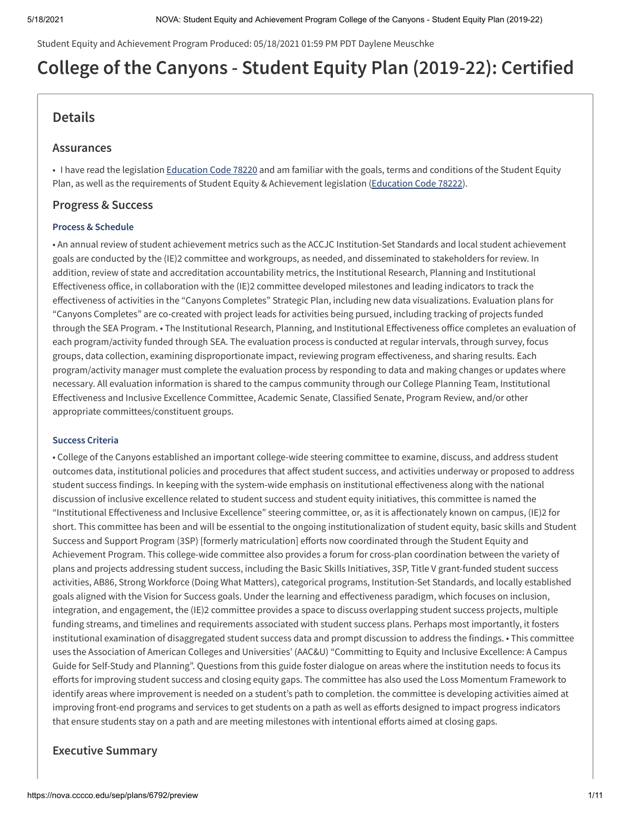Student Equity and Achievement Program Produced: 05/18/2021 01:59 PM PDT Daylene Meuschke

# **College of the Canyons - Student Equity Plan (2019-22): Certified**

# **Details**

#### **Assurances**

Plan, as well as the requirements of Student Equity & Achievement legislation (Education Code 78222). • I have read the legislation Education Code 78220 and am familiar with the goals, terms and conditions of the Student Equity

### **Progress & Success**

#### **Process & Schedule**

 goals are conducted by the (IE)2 committee and workgroups, as needed, and disseminated to stakeholders for review. In addition, review of state and accreditation accountability metrics, the Institutional Research, Planning and Institutional Effectiveness office, in collaboration with the (IE)2 committee developed milestones and leading indicators to track the effectiveness of activities in the "Canyons Completes" Strategic Plan, including new data visualizations. Evaluation plans for "Canyons Completes" are co-created with project leads for activities being pursued, including tracking of projects funded through the SEA Program. • The Institutional Research, Planning, and Institutional Effectiveness office completes an evaluation of each program/activity funded through SEA. The evaluation process is conducted at regular intervals, through survey, focus groups, data collection, examining disproportionate impact, reviewing program effectiveness, and sharing results. Each program/activity manager must complete the evaluation process by responding to data and making changes or updates where necessary. All evaluation information is shared to the campus community through our College Planning Team, Institutional Effectiveness and Inclusive Excellence Committee, Academic Senate, Classified Senate, Program Review, and/or other • An annual review of student achievement metrics such as the ACCJC Institution-Set Standards and local student achievement appropriate committees/constituent groups.

#### **Success Criteria**

outcomes data, institutional policies and procedures that affect student success, and activities underway or proposed to address student success findings. In keeping with the system-wide emphasis on institutional effectiveness along with the national discussion of inclusive excellence related to student success and student equity initiatives, this committee is named the "Institutional Effectiveness and Inclusive Excellence" steering committee, or, as it is affectionately known on campus, (IE)2 for short. This committee has been and will be essential to the ongoing institutionalization of student equity, basic skills and Student Success and Support Program (3SP) [formerly matriculation] efforts now coordinated through the Student Equity and Achievement Program. This college-wide committee also provides a forum for cross-plan coordination between the variety of efforts for improving student success and closing equity gaps. The committee has also used the Loss Momentum Framework to identify areas where improvement is needed on a student's path to completion. the committee is developing activities aimed at improving front-end programs and services to get students on a path as well as efforts designed to impact progress indicators that ensure students stay on a path and are meeting milestones with intentional efforts aimed at closing gaps. • College of the Canyons established an important college-wide steering committee to examine, discuss, and address student plans and projects addressing student success, including the Basic Skills Initiatives, 3SP, Title V grant-funded student success activities, AB86, Strong Workforce (Doing What Matters), categorical programs, Institution-Set Standards, and locally established goals aligned with the Vision for Success goals. Under the learning and effectiveness paradigm, which focuses on inclusion, integration, and engagement, the (IE)2 committee provides a space to discuss overlapping student success projects, multiple funding streams, and timelines and requirements associated with student success plans. Perhaps most importantly, it fosters institutional examination of disaggregated student success data and prompt discussion to address the findings. • This committee uses the Association of American Colleges and Universities' (AAC&U) "Committing to Equity and Inclusive Excellence: A Campus Guide for Self-Study and Planning". Questions from this guide foster dialogue on areas where the institution needs to focus its

# **Executive Summary**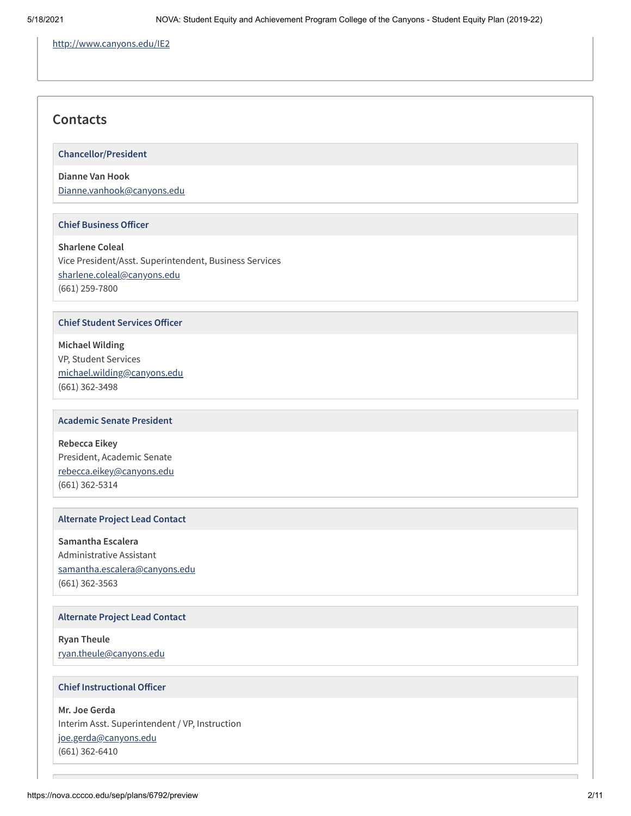http://www.canyons.edu/IE2

# **Contacts**

**Chancellor/President**

### **Dianne Van Hook** Dianne.vanhook@canyons.edu

#### **Chief Business Officer**

 Vice President/Asst. Superintendent, Business Services **Sharlene Coleal** sharlene.coleal@canyons.edu (661) 259-7800

#### **Chief Student Services Officer**

 VP, Student Services **Michael Wilding** michael.wilding@canyons.edu (661) 362-3498

#### **Academic Senate President**

 President, Academic Senate **Rebecca Eikey** rebecca.eikey@canyons.edu (661) 362-5314

#### **Alternate Project Lead Contact**

 Administrative Assistant **Samantha Escalera** samantha.escalera@canyons.edu (661) 362-3563

#### **Alternate Project Lead Contact**

**Ryan Theule**

ryan.theule@canyons.edu

#### **Chief Instructional Officer**

 **Mr. Joe Gerda** Interim Asst. Superintendent / VP, Instruction joe.gerda@canyons.edu (661) 362-6410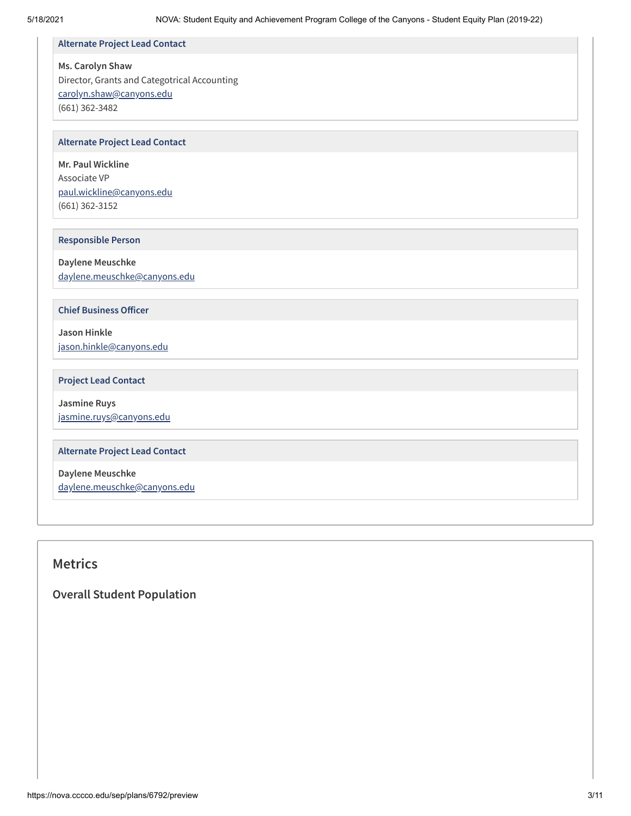#### **Alternate Project Lead Contact**

#### **Ms. Carolyn Shaw**

 Director, Grants and Categotrical Accounting carolyn.shaw@canyons.edu (661) 362-3482

#### **Alternate Project Lead Contact**

 **Mr. Paul Wickline** Associate VP paul.wickline@canyons.edu (661) 362-3152

#### **Responsible Person**

**Daylene Meuschke** daylene.meuschke@canyons.edu

**Chief Business Officer** 

**Jason Hinkle** jason.hinkle@canyons.edu

#### **Project Lead Contact**

**Jasmine Ruys** jasmine.ruys@canyons.edu

#### **Alternate Project Lead Contact**

**Daylene Meuschke** daylene.meuschke@canyons.edu

# **Metrics**

 **Overall Student Population**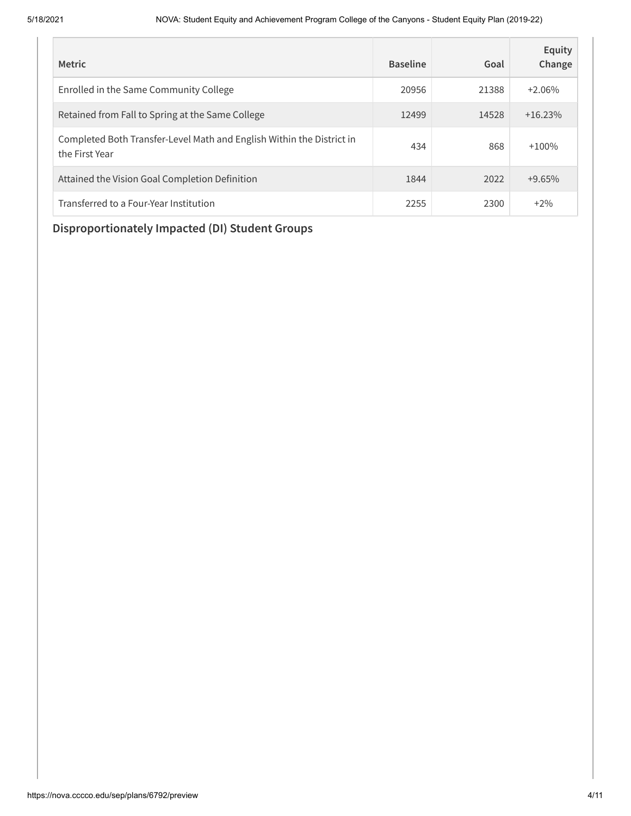| <b>Metric</b>                                                                           | <b>Baseline</b> | Goal  | Equity<br>Change |
|-----------------------------------------------------------------------------------------|-----------------|-------|------------------|
| Enrolled in the Same Community College                                                  | 20956           | 21388 | $+2.06%$         |
| Retained from Fall to Spring at the Same College                                        | 12499           | 14528 | $+16.23\%$       |
| Completed Both Transfer-Level Math and English Within the District in<br>the First Year | 434             | 868   | $+100%$          |
| Attained the Vision Goal Completion Definition                                          | 1844            | 2022  | $+9.65%$         |
| Transferred to a Four-Year Institution                                                  | 2255            | 2300  | $+2\%$           |

# **Disproportionately Impacted (DI) Student Groups**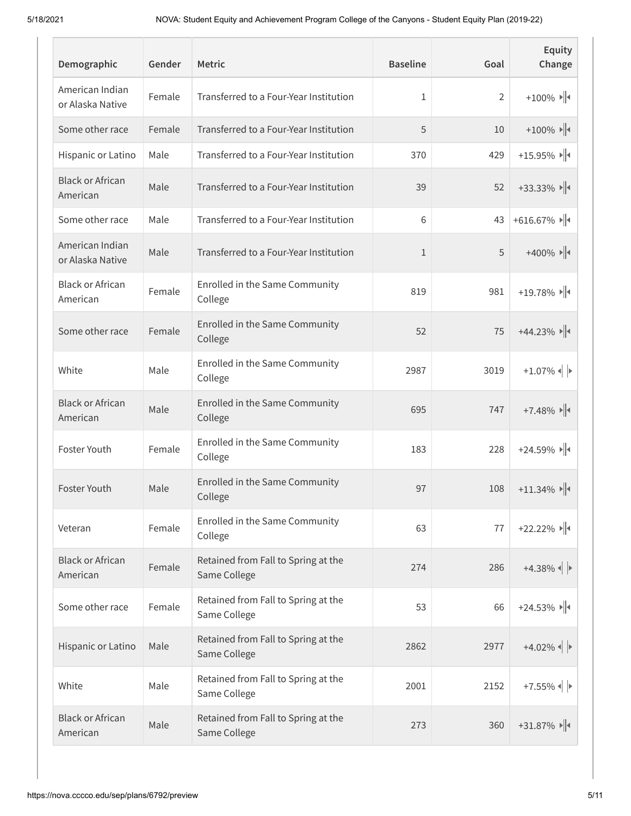| Demographic                         | Gender | <b>Metric</b>                                       | <b>Baseline</b> | Goal           | Equity<br>Change                                                           |
|-------------------------------------|--------|-----------------------------------------------------|-----------------|----------------|----------------------------------------------------------------------------|
| American Indian<br>or Alaska Native | Female | Transferred to a Four-Year Institution              | 1               | $\overline{2}$ | $+100\%$ $\blacktriangleright$ $\parallel$                                 |
| Some other race                     | Female | Transferred to a Four-Year Institution              | 5               | 10             | $+100\%$                                                                   |
| Hispanic or Latino                  | Male   | Transferred to a Four-Year Institution              | 370             | 429            | $+15.95\%$                                                                 |
| <b>Black or African</b><br>American | Male   | Transferred to a Four-Year Institution              | 39              | 52             | $+33.33\%$                                                                 |
| Some other race                     | Male   | Transferred to a Four-Year Institution              | 6               | 43             | $+616.67\%$                                                                |
| American Indian<br>or Alaska Native | Male   | Transferred to a Four-Year Institution              | $\mathbf{1}$    | 5              | $+400\%$ $\blacktriangleright$ $\blacktriangleright$ $\blacktriangleright$ |
| <b>Black or African</b><br>American | Female | Enrolled in the Same Community<br>College           | 819             | 981            | $+19.78\%$                                                                 |
| Some other race                     | Female | Enrolled in the Same Community<br>College           | 52              | 75             | $+44.23\%$                                                                 |
| White                               | Male   | Enrolled in the Same Community<br>College           | 2987            | 3019           | $+1.07\%$                                                                  |
| <b>Black or African</b><br>American | Male   | Enrolled in the Same Community<br>College           | 695             | 747            | $+7.48\%$                                                                  |
| Foster Youth                        | Female | Enrolled in the Same Community<br>College           | 183             | 228            | $+24.59\%$                                                                 |
| Foster Youth                        | Male   | Enrolled in the Same Community<br>College           | 97              | 108            | $+11.34\%$                                                                 |
| Veteran                             | Female | Enrolled in the Same Community<br>College           | 63              | $77$           | $+22.22\%$                                                                 |
| <b>Black or African</b><br>American | Female | Retained from Fall to Spring at the<br>Same College | 274             | 286            | $+4.38\%$                                                                  |
| Some other race                     | Female | Retained from Fall to Spring at the<br>Same College | 53              | 66             | $+24.53\%$                                                                 |
| Hispanic or Latino                  | Male   | Retained from Fall to Spring at the<br>Same College | 2862            | 2977           | $+4.02\%$                                                                  |
| White                               | Male   | Retained from Fall to Spring at the<br>Same College | 2001            | 2152           | $+7.55\%$                                                                  |
| <b>Black or African</b><br>American | Male   | Retained from Fall to Spring at the<br>Same College | 273             | 360            | $+31.87\%$                                                                 |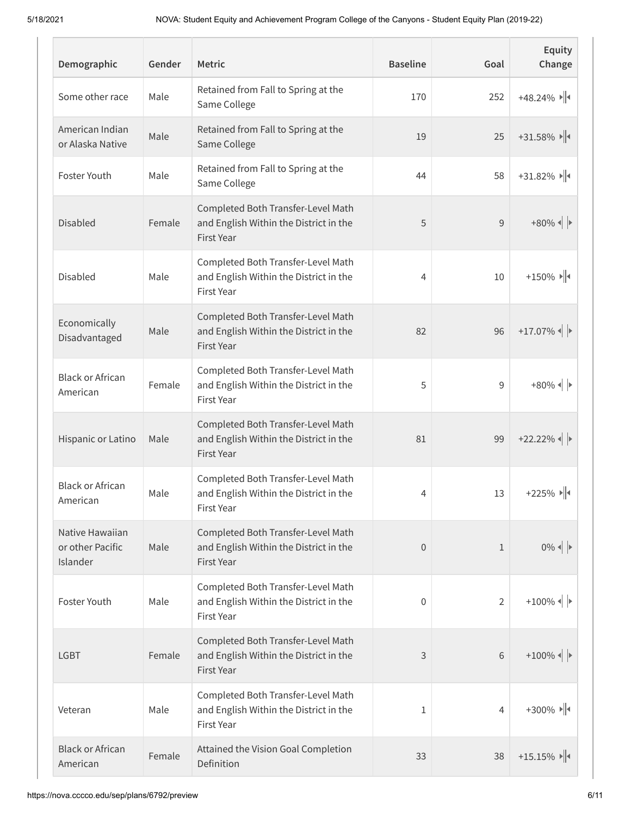| Demographic                                     | Gender | <b>Metric</b>                                                                              | <b>Baseline</b> | Goal           | Equity<br>Change                   |
|-------------------------------------------------|--------|--------------------------------------------------------------------------------------------|-----------------|----------------|------------------------------------|
| Some other race                                 | Male   | Retained from Fall to Spring at the<br>Same College                                        | 170             | 252            | $+48.24\%$                         |
| American Indian<br>or Alaska Native             | Male   | Retained from Fall to Spring at the<br>Same College                                        | 19              | 25             | $+31.58\%$                         |
| Foster Youth                                    | Male   | Retained from Fall to Spring at the<br>Same College                                        | 44              | 58             | $+31.82\%$                         |
| <b>Disabled</b>                                 | Female | Completed Both Transfer-Level Math<br>and English Within the District in the<br>First Year | 5               | 9              | $+80\%$ $\left  \cdot \right $     |
| Disabled                                        | Male   | Completed Both Transfer-Level Math<br>and English Within the District in the<br>First Year | 4               | 10             | $+150\%$ $\Vert$                   |
| Economically<br>Disadvantaged                   | Male   | Completed Both Transfer-Level Math<br>and English Within the District in the<br>First Year | 82              | 96             | $+17.07\%$                         |
| <b>Black or African</b><br>American             | Female | Completed Both Transfer-Level Math<br>and English Within the District in the<br>First Year | 5               | 9              | $+80\%$ $\left  \cdot \right $     |
| Hispanic or Latino                              | Male   | Completed Both Transfer-Level Math<br>and English Within the District in the<br>First Year | 81              | 99             | $+22.22\%$                         |
| <b>Black or African</b><br>American             | Male   | Completed Both Transfer-Level Math<br>and English Within the District in the<br>First Year | 4               | 13             | $+225\%$ $\Vert \cdot \Vert$       |
| Native Hawaiian<br>or other Pacific<br>Islander | Male   | Completed Both Transfer-Level Math<br>and English Within the District in the<br>First Year | $\theta$        | $\mathbf{1}$   | $0\%$ $\parallel$ $\triangleright$ |
| Foster Youth                                    | Male   | Completed Both Transfer-Level Math<br>and English Within the District in the<br>First Year | 0               | $\overline{2}$ | $+100\%$ $\left  \cdot \right $    |
| <b>LGBT</b>                                     | Female | Completed Both Transfer-Level Math<br>and English Within the District in the<br>First Year | 3               | 6              | $+100\%$                           |
| Veteran                                         | Male   | Completed Both Transfer-Level Math<br>and English Within the District in the<br>First Year | 1               | 4              | $+300\%$ $\rightarrow$ $\parallel$ |
| <b>Black or African</b><br>American             | Female | Attained the Vision Goal Completion<br>Definition                                          | 33              | 38             | $+15.15\%$                         |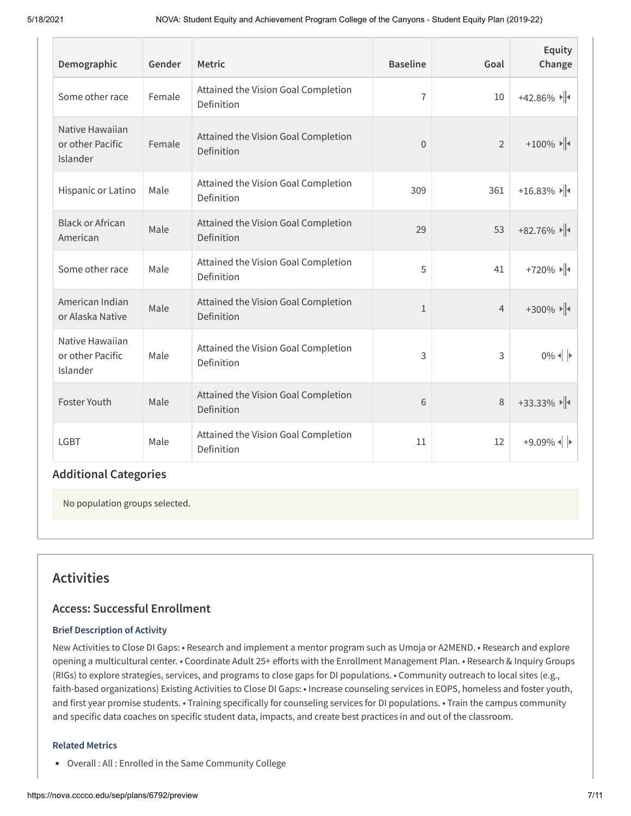| Demographic                                     | Gender | <b>Metric</b>                                     | <b>Baseline</b> | Goal           | Equity<br>Change                                                           |
|-------------------------------------------------|--------|---------------------------------------------------|-----------------|----------------|----------------------------------------------------------------------------|
| Some other race                                 | Female | Attained the Vision Goal Completion<br>Definition | 7               | 10             | $+42.86\%$                                                                 |
| Native Hawaiian<br>or other Pacific<br>Islander | Female | Attained the Vision Goal Completion<br>Definition | $\overline{0}$  | $\overline{2}$ | $+100\%$                                                                   |
| Hispanic or Latino                              | Male   | Attained the Vision Goal Completion<br>Definition | 309             | 361            | $+16.83\%$                                                                 |
| <b>Black or African</b><br>American             | Male   | Attained the Vision Goal Completion<br>Definition | 29              | 53             | $+82.76\%$                                                                 |
| Some other race                                 | Male   | Attained the Vision Goal Completion<br>Definition | 5               | 41             | $+720\%$                                                                   |
| American Indian<br>or Alaska Native             | Male   | Attained the Vision Goal Completion<br>Definition | $\mathbf{1}$    | $\overline{4}$ | $+300\%$ $\blacktriangleright$ $\blacktriangleright$ $\blacktriangleright$ |
| Native Hawaiian<br>or other Pacific<br>Islander | Male   | Attained the Vision Goal Completion<br>Definition | 3               | 3              | $0\%$ $\left\  \cdot \right\ $                                             |
| Foster Youth                                    | Male   | Attained the Vision Goal Completion<br>Definition | 6               | 8              | $+33.33\%$                                                                 |
| <b>LGBT</b>                                     | Male   | Attained the Vision Goal Completion<br>Definition | 11              | 12             | $+9.09%$                                                                   |

# **Additional Categories**

No population groups selected.

# **Activities**

### **Access: Successful Enrollment**

#### **Brief Description of Activity**

 faith-based organizations) Existing Activities to Close DI Gaps: • Increase counseling services in EOPS, homeless and foster youth, and first year promise students. • Training specifically for counseling services for DI populations. • Train the campus community and specific data coaches on specific student data, impacts, and create best practices in and out of the classroom. New Activities to Close DI Gaps: • Research and implement a mentor program such as Umoja or A2MEND. • Research and explore opening a multicultural center. • Coordinate Adult 25+ efforts with the Enrollment Management Plan. • Research & Inquiry Groups (RIGs) to explore strategies, services, and programs to close gaps for DI populations. • Community outreach to local sites (e.g.,

#### **Related Metrics**

Overall : All : Enrolled in the Same Community College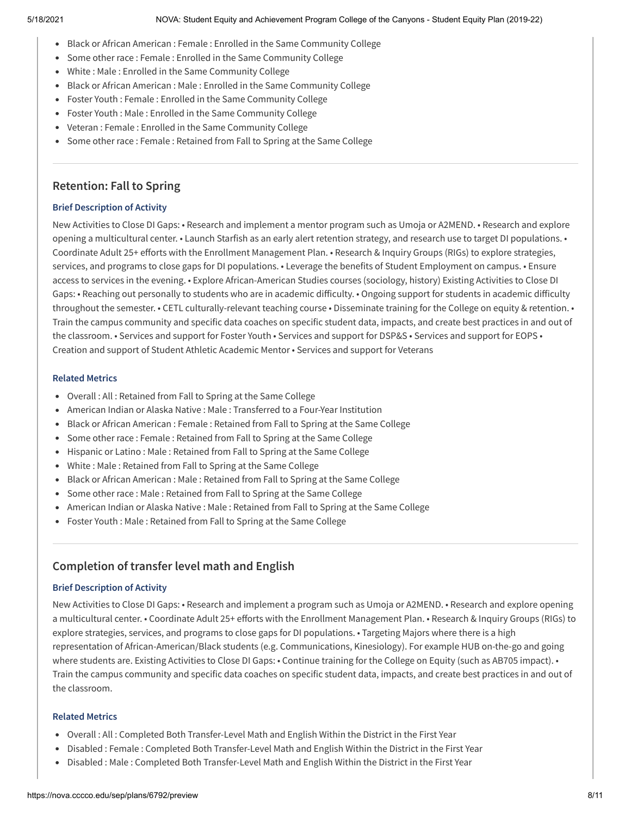- Black or African American : Female : Enrolled in the Same Community College
- Some other race : Female : Enrolled in the Same Community College
- White : Male : Enrolled in the Same Community College
- Black or African American : Male : Enrolled in the Same Community College
- Foster Youth : Female : Enrolled in the Same Community College
- Foster Youth : Male : Enrolled in the Same Community College
- Veteran : Female : Enrolled in the Same Community College
- Some other race : Female : Retained from Fall to Spring at the Same College

## **Retention: Fall to Spring**

#### **Brief Description of Activity**

 New Activities to Close DI Gaps: • Research and implement a mentor program such as Umoja or A2MEND. • Research and explore opening a multicultural center. • Launch Starfish as an early alert retention strategy, and research use to target DI populations. • Coordinate Adult 25+ efforts with the Enrollment Management Plan. • Research & Inquiry Groups (RIGs) to explore strategies, services, and programs to close gaps for DI populations. • Leverage the benefits of Student Employment on campus. • Ensure access to services in the evening. • Explore African-American Studies courses (sociology, history) Existing Activities to Close DI Gaps: • Reaching out personally to students who are in academic difficulty. • Ongoing support for students in academic difficulty throughout the semester. • CETL culturally-relevant teaching course • Disseminate training for the College on equity & retention. • Train the campus community and specific data coaches on specific student data, impacts, and create best practices in and out of the classroom. • Services and support for Foster Youth • Services and support for DSP&S • Services and support for EOPS • Creation and support of Student Athletic Academic Mentor • Services and support for Veterans

#### **Related Metrics**

- Overall : All : Retained from Fall to Spring at the Same College
- American Indian or Alaska Native : Male : Transferred to a Four-Year Institution
- Black or African American : Female : Retained from Fall to Spring at the Same College
- Some other race : Female : Retained from Fall to Spring at the Same College
- Hispanic or Latino : Male : Retained from Fall to Spring at the Same College
- White : Male : Retained from Fall to Spring at the Same College
- Black or African American : Male : Retained from Fall to Spring at the Same College
- Some other race : Male : Retained from Fall to Spring at the Same College
- American Indian or Alaska Native : Male : Retained from Fall to Spring at the Same College
- Foster Youth : Male : Retained from Fall to Spring at the Same College

# **Completion of transfer level math and English**

#### **Brief Description of Activity**

New Activities to Close DI Gaps: • Research and implement a program such as Umoja or A2MEND. • Research and explore opening a multicultural center. • Coordinate Adult 25+ efforts with the Enrollment Management Plan. • Research & Inquiry Groups (RIGs) to explore strategies, services, and programs to close gaps for DI populations. • Targeting Majors where there is a high representation of African-American/Black students (e.g. Communications, Kinesiology). For example HUB on-the-go and going where students are. Existing Activities to Close DI Gaps: • Continue training for the College on Equity (such as AB705 impact). • Train the campus community and specific data coaches on specific student data, impacts, and create best practices in and out of the classroom.

#### **Related Metrics**

- Overall : All : Completed Both Transfer-Level Math and English Within the District in the First Year
- Disabled : Female : Completed Both Transfer-Level Math and English Within the District in the First Year
- Disabled : Male : Completed Both Transfer-Level Math and English Within the District in the First Year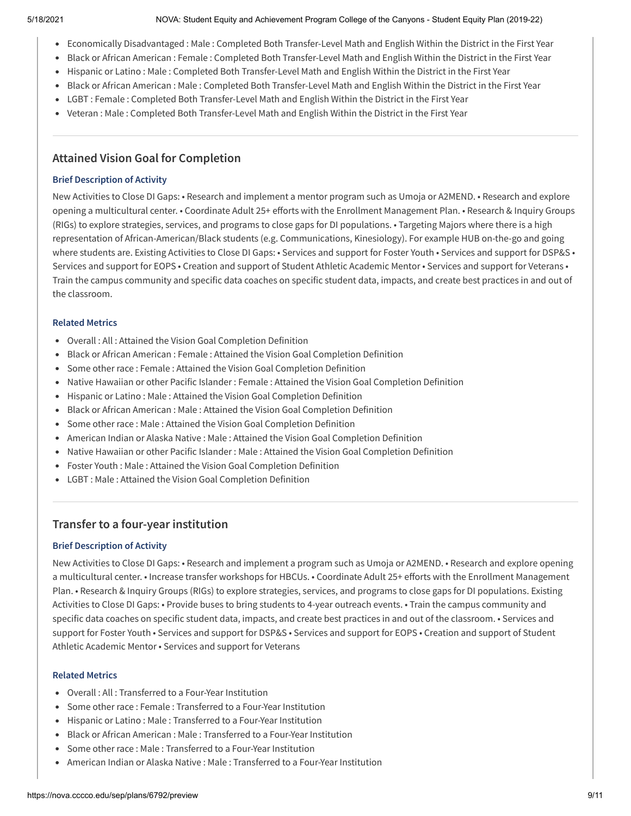#### 5/18/2021 NOVA: Student Equity and Achievement Program College of the Canyons - Student Equity Plan (2019-22)

- Economically Disadvantaged : Male : Completed Both Transfer-Level Math and English Within the District in the First Year
- Black or African American : Female : Completed Both Transfer-Level Math and English Within the District in the First Year
- Hispanic or Latino : Male : Completed Both Transfer-Level Math and English Within the District in the First Year
- Black or African American : Male : Completed Both Transfer-Level Math and English Within the District in the First Year
- LGBT : Female : Completed Both Transfer-Level Math and English Within the District in the First Year
- Veteran : Male : Completed Both Transfer-Level Math and English Within the District in the First Year

# **Attained Vision Goal for Completion**

#### **Brief Description of Activity**

 New Activities to Close DI Gaps: • Research and implement a mentor program such as Umoja or A2MEND. • Research and explore opening a multicultural center. • Coordinate Adult 25+ efforts with the Enrollment Management Plan. • Research & Inquiry Groups (RIGs) to explore strategies, services, and programs to close gaps for DI populations. • Targeting Majors where there is a high representation of African-American/Black students (e.g. Communications, Kinesiology). For example HUB on-the-go and going where students are. Existing Activities to Close DI Gaps: • Services and support for Foster Youth • Services and support for DSP&S • Services and support for EOPS • Creation and support of Student Athletic Academic Mentor • Services and support for Veterans • Train the campus community and specific data coaches on specific student data, impacts, and create best practices in and out of the classroom.

#### **Related Metrics**

- Overall : All : Attained the Vision Goal Completion Definition
- Black or African American : Female : Attained the Vision Goal Completion Definition
- Some other race : Female : Attained the Vision Goal Completion Definition
- Native Hawaiian or other Pacific Islander : Female : Attained the Vision Goal Completion Definition
- Hispanic or Latino : Male : Attained the Vision Goal Completion Definition
- Black or African American : Male : Attained the Vision Goal Completion Definition
- Some other race : Male : Attained the Vision Goal Completion Definition
- American Indian or Alaska Native : Male : Attained the Vision Goal Completion Definition
- Native Hawaiian or other Pacific Islander : Male : Attained the Vision Goal Completion Definition
- Foster Youth : Male : Attained the Vision Goal Completion Definition
- LGBT : Male : Attained the Vision Goal Completion Definition

# **Transfer to a four-year institution**

#### **Brief Description of Activity**

New Activities to Close DI Gaps: • Research and implement a program such as Umoja or A2MEND. • Research and explore opening a multicultural center. • Increase transfer workshops for HBCUs. • Coordinate Adult 25+ efforts with the Enrollment Management Plan. • Research & Inquiry Groups (RIGs) to explore strategies, services, and programs to close gaps for DI populations. Existing Activities to Close DI Gaps: • Provide buses to bring students to 4-year outreach events. • Train the campus community and specific data coaches on specific student data, impacts, and create best practices in and out of the classroom. • Services and support for Foster Youth • Services and support for DSP&S • Services and support for EOPS • Creation and support of Student Athletic Academic Mentor • Services and support for Veterans

#### **Related Metrics**

- Overall : All : Transferred to a Four-Year Institution
- Some other race : Female : Transferred to a Four-Year Institution
- Hispanic or Latino : Male : Transferred to a Four-Year Institution
- Black or African American : Male : Transferred to a Four-Year Institution
- Some other race : Male : Transferred to a Four-Year Institution
- American Indian or Alaska Native : Male : Transferred to a Four-Year Institution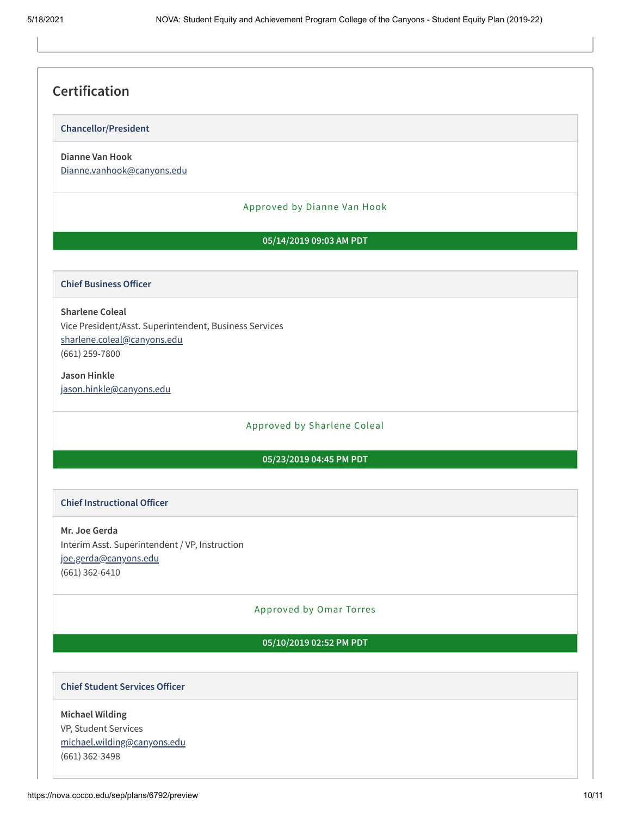# **Certification**

#### **Chancellor/President**

# **Dianne Van Hook**

Dianne.vanhook@canyons.edu

#### Approved by Dianne Van Hook

#### **05/14/2019 09:03 AM PDT**

#### **Chief Business Officer**

## Vice President/Asst. Superintendent, Business Services **Sharlene Coleal** sharlene.coleal@canyons.edu (661) 259-7800

**Jason Hinkle** jason.hinkle@canyons.edu

#### Approved by Sharlene Coleal

#### **05/23/2019 04:45 PM PDT**

#### **Chief Instructional Officer**

 **Mr. Joe Gerda** Interim Asst. Superintendent / VP, Instruction joe.gerda@canyons.edu (661) 362-6410

#### Approved by Omar Torres

#### **05/10/2019 02:52 PM PDT**

#### **Chief Student Services Oicer**

## VP, Student Services **Michael Wilding** michael.wilding@canyons.edu (661) 362-3498